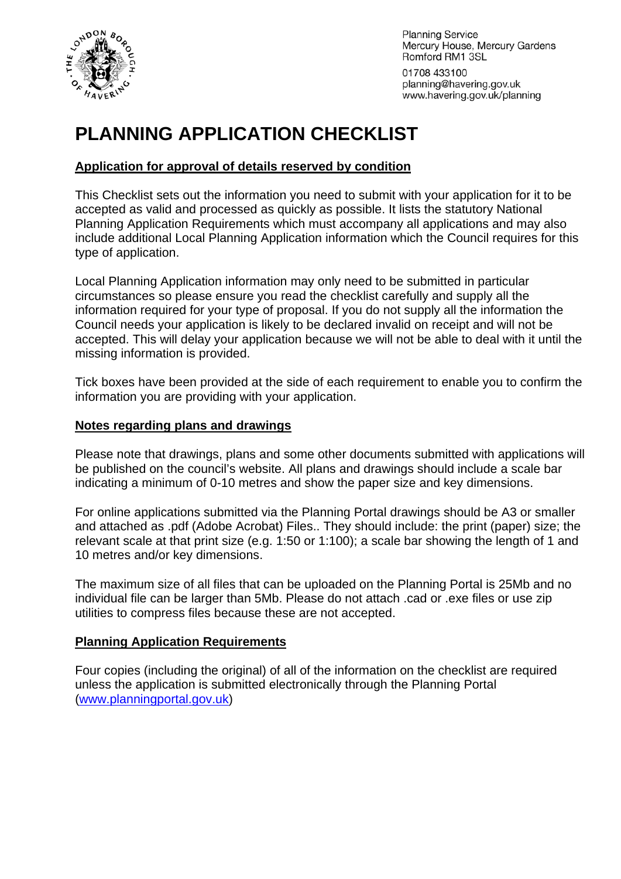

**Planning Service** Mercury House, Mercury Gardens Romford RM1 3SL

01708 433100 planning@havering.gov.uk www.havering.gov.uk/planning

# **PLANNING APPLICATION CHECKLIST**

#### **Application for approval of details reserved by condition**

This Checklist sets out the information you need to submit with your application for it to be accepted as valid and processed as quickly as possible. It lists the statutory National Planning Application Requirements which must accompany all applications and may also include additional Local Planning Application information which the Council requires for this type of application.

Local Planning Application information may only need to be submitted in particular circumstances so please ensure you read the checklist carefully and supply all the information required for your type of proposal. If you do not supply all the information the Council needs your application is likely to be declared invalid on receipt and will not be accepted. This will delay your application because we will not be able to deal with it until the missing information is provided.

Tick boxes have been provided at the side of each requirement to enable you to confirm the information you are providing with your application.

#### **Notes regarding plans and drawings**

Please note that drawings, plans and some other documents submitted with applications will be published on the council's website. All plans and drawings should include a scale bar indicating a minimum of 0-10 metres and show the paper size and key dimensions.

For online applications submitted via the Planning Portal drawings should be A3 or smaller and attached as .pdf (Adobe Acrobat) Files.. They should include: the print (paper) size; the relevant scale at that print size (e.g. 1:50 or 1:100); a scale bar showing the length of 1 and 10 metres and/or key dimensions.

The maximum size of all files that can be uploaded on the Planning Portal is 25Mb and no individual file can be larger than 5Mb. Please do not attach .cad or .exe files or use zip utilities to compress files because these are not accepted.

#### **Planning Application Requirements**

Four copies (including the original) of all of the information on the checklist are required unless the application is submitted electronically through the Planning Portal ([www.planningportal.gov.uk](http://www.planningportal.gov.uk/))